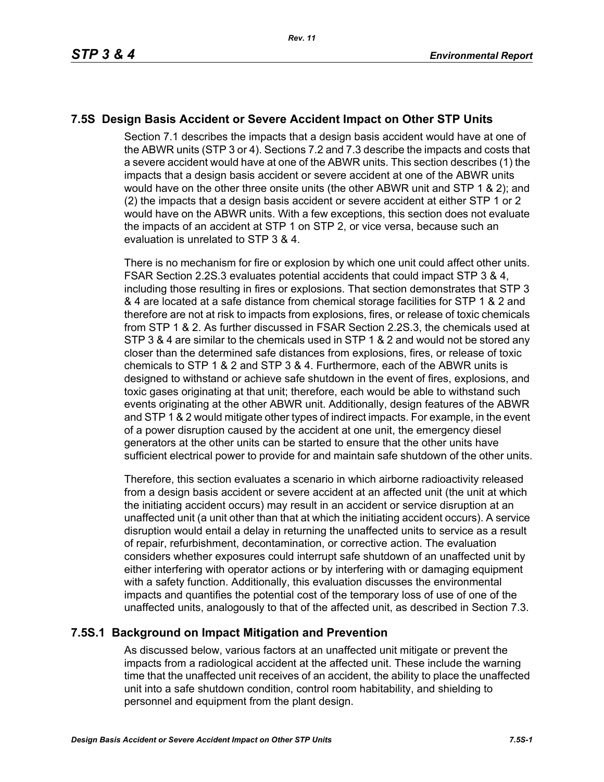# **7.5S Design Basis Accident or Severe Accident Impact on Other STP Units**

Section 7.1 describes the impacts that a design basis accident would have at one of the ABWR units (STP 3 or 4). Sections 7.2 and 7.3 describe the impacts and costs that a severe accident would have at one of the ABWR units. This section describes (1) the impacts that a design basis accident or severe accident at one of the ABWR units would have on the other three onsite units (the other ABWR unit and STP 1 & 2); and (2) the impacts that a design basis accident or severe accident at either STP 1 or 2 would have on the ABWR units. With a few exceptions, this section does not evaluate the impacts of an accident at STP 1 on STP 2, or vice versa, because such an evaluation is unrelated to STP 3 & 4.

There is no mechanism for fire or explosion by which one unit could affect other units. FSAR Section 2.2S.3 evaluates potential accidents that could impact STP 3 & 4, including those resulting in fires or explosions. That section demonstrates that STP 3 & 4 are located at a safe distance from chemical storage facilities for STP 1 & 2 and therefore are not at risk to impacts from explosions, fires, or release of toxic chemicals from STP 1 & 2. As further discussed in FSAR Section 2.2S.3, the chemicals used at STP 3 & 4 are similar to the chemicals used in STP 1 & 2 and would not be stored any closer than the determined safe distances from explosions, fires, or release of toxic chemicals to STP 1 & 2 and STP 3 & 4. Furthermore, each of the ABWR units is designed to withstand or achieve safe shutdown in the event of fires, explosions, and toxic gases originating at that unit; therefore, each would be able to withstand such events originating at the other ABWR unit. Additionally, design features of the ABWR and STP 1 & 2 would mitigate other types of indirect impacts. For example, in the event of a power disruption caused by the accident at one unit, the emergency diesel generators at the other units can be started to ensure that the other units have sufficient electrical power to provide for and maintain safe shutdown of the other units.

Therefore, this section evaluates a scenario in which airborne radioactivity released from a design basis accident or severe accident at an affected unit (the unit at which the initiating accident occurs) may result in an accident or service disruption at an unaffected unit (a unit other than that at which the initiating accident occurs). A service disruption would entail a delay in returning the unaffected units to service as a result of repair, refurbishment, decontamination, or corrective action. The evaluation considers whether exposures could interrupt safe shutdown of an unaffected unit by either interfering with operator actions or by interfering with or damaging equipment with a safety function. Additionally, this evaluation discusses the environmental impacts and quantifies the potential cost of the temporary loss of use of one of the unaffected units, analogously to that of the affected unit, as described in Section 7.3.

# **7.5S.1 Background on Impact Mitigation and Prevention**

As discussed below, various factors at an unaffected unit mitigate or prevent the impacts from a radiological accident at the affected unit. These include the warning time that the unaffected unit receives of an accident, the ability to place the unaffected unit into a safe shutdown condition, control room habitability, and shielding to personnel and equipment from the plant design.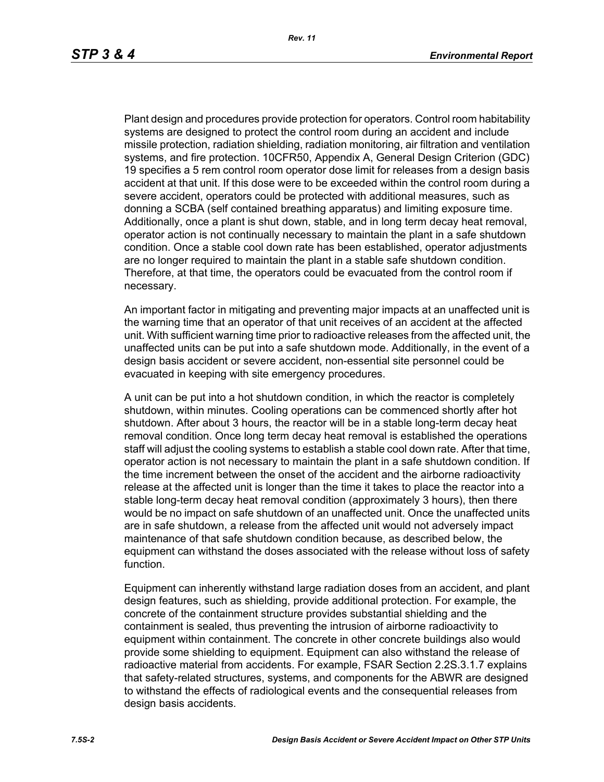Plant design and procedures provide protection for operators. Control room habitability systems are designed to protect the control room during an accident and include missile protection, radiation shielding, radiation monitoring, air filtration and ventilation systems, and fire protection. 10CFR50, Appendix A, General Design Criterion (GDC) 19 specifies a 5 rem control room operator dose limit for releases from a design basis accident at that unit. If this dose were to be exceeded within the control room during a severe accident, operators could be protected with additional measures, such as donning a SCBA (self contained breathing apparatus) and limiting exposure time. Additionally, once a plant is shut down, stable, and in long term decay heat removal, operator action is not continually necessary to maintain the plant in a safe shutdown condition. Once a stable cool down rate has been established, operator adjustments are no longer required to maintain the plant in a stable safe shutdown condition. Therefore, at that time, the operators could be evacuated from the control room if necessary.

An important factor in mitigating and preventing major impacts at an unaffected unit is the warning time that an operator of that unit receives of an accident at the affected unit. With sufficient warning time prior to radioactive releases from the affected unit, the unaffected units can be put into a safe shutdown mode. Additionally, in the event of a design basis accident or severe accident, non-essential site personnel could be evacuated in keeping with site emergency procedures.

A unit can be put into a hot shutdown condition, in which the reactor is completely shutdown, within minutes. Cooling operations can be commenced shortly after hot shutdown. After about 3 hours, the reactor will be in a stable long-term decay heat removal condition. Once long term decay heat removal is established the operations staff will adjust the cooling systems to establish a stable cool down rate. After that time, operator action is not necessary to maintain the plant in a safe shutdown condition. If the time increment between the onset of the accident and the airborne radioactivity release at the affected unit is longer than the time it takes to place the reactor into a stable long-term decay heat removal condition (approximately 3 hours), then there would be no impact on safe shutdown of an unaffected unit. Once the unaffected units are in safe shutdown, a release from the affected unit would not adversely impact maintenance of that safe shutdown condition because, as described below, the equipment can withstand the doses associated with the release without loss of safety function.

Equipment can inherently withstand large radiation doses from an accident, and plant design features, such as shielding, provide additional protection. For example, the concrete of the containment structure provides substantial shielding and the containment is sealed, thus preventing the intrusion of airborne radioactivity to equipment within containment. The concrete in other concrete buildings also would provide some shielding to equipment. Equipment can also withstand the release of radioactive material from accidents. For example, FSAR Section 2.2S.3.1.7 explains that safety-related structures, systems, and components for the ABWR are designed to withstand the effects of radiological events and the consequential releases from design basis accidents.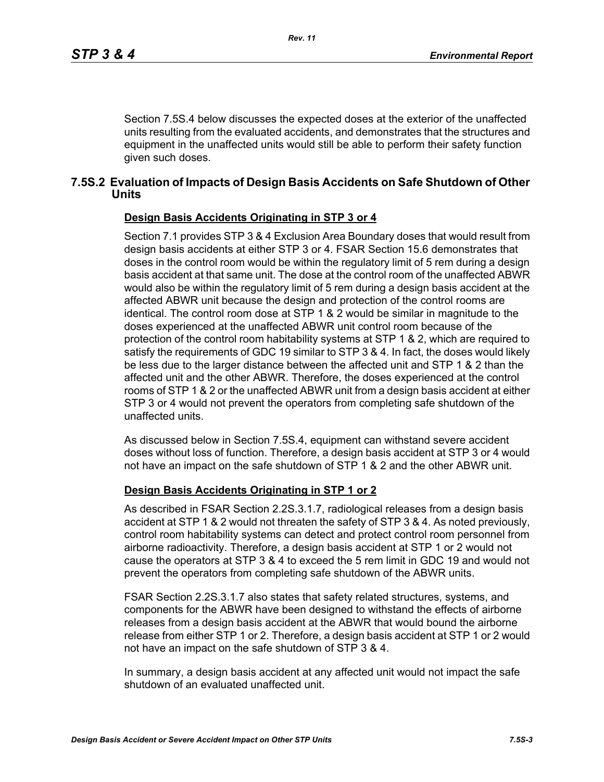Section 7.5S.4 below discusses the expected doses at the exterior of the unaffected units resulting from the evaluated accidents, and demonstrates that the structures and equipment in the unaffected units would still be able to perform their safety function given such doses.

### **7.5S.2 Evaluation of Impacts of Design Basis Accidents on Safe Shutdown of Other Units**

#### **Design Basis Accidents Originating in STP 3 or 4**

Section 7.1 provides STP 3 & 4 Exclusion Area Boundary doses that would result from design basis accidents at either STP 3 or 4. FSAR Section 15.6 demonstrates that doses in the control room would be within the regulatory limit of 5 rem during a design basis accident at that same unit. The dose at the control room of the unaffected ABWR would also be within the regulatory limit of 5 rem during a design basis accident at the affected ABWR unit because the design and protection of the control rooms are identical. The control room dose at STP 1 & 2 would be similar in magnitude to the doses experienced at the unaffected ABWR unit control room because of the protection of the control room habitability systems at STP 1 & 2, which are required to satisfy the requirements of GDC 19 similar to STP 3 & 4. In fact, the doses would likely be less due to the larger distance between the affected unit and STP 1 & 2 than the affected unit and the other ABWR. Therefore, the doses experienced at the control rooms of STP 1 & 2 or the unaffected ABWR unit from a design basis accident at either STP 3 or 4 would not prevent the operators from completing safe shutdown of the unaffected units.

As discussed below in Section 7.5S.4, equipment can withstand severe accident doses without loss of function. Therefore, a design basis accident at STP 3 or 4 would not have an impact on the safe shutdown of STP 1 & 2 and the other ABWR unit.

#### **Design Basis Accidents Originating in STP 1 or 2**

As described in FSAR Section 2.2S.3.1.7, radiological releases from a design basis accident at STP 1 & 2 would not threaten the safety of STP 3 & 4. As noted previously, control room habitability systems can detect and protect control room personnel from airborne radioactivity. Therefore, a design basis accident at STP 1 or 2 would not cause the operators at STP 3 & 4 to exceed the 5 rem limit in GDC 19 and would not prevent the operators from completing safe shutdown of the ABWR units.

FSAR Section 2.2S.3.1.7 also states that safety related structures, systems, and components for the ABWR have been designed to withstand the effects of airborne releases from a design basis accident at the ABWR that would bound the airborne release from either STP 1 or 2. Therefore, a design basis accident at STP 1 or 2 would not have an impact on the safe shutdown of STP 3 & 4.

In summary, a design basis accident at any affected unit would not impact the safe shutdown of an evaluated unaffected unit.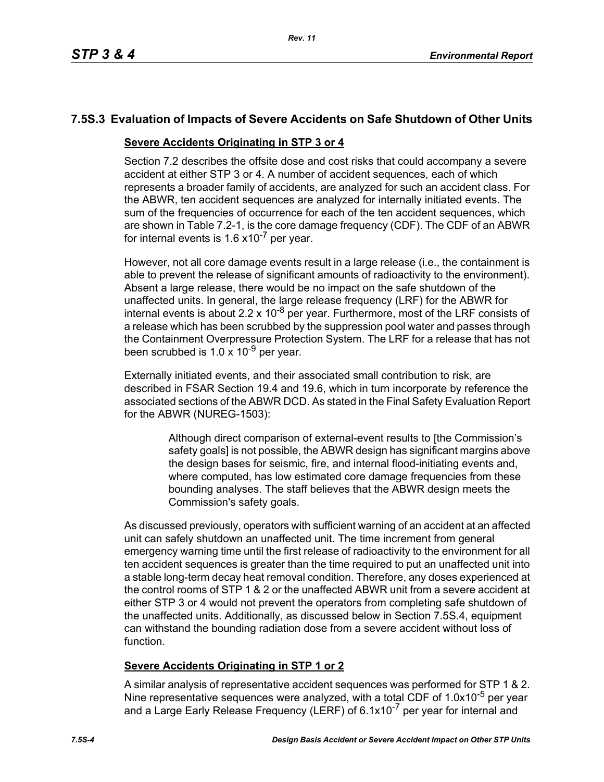# **7.5S.3 Evaluation of Impacts of Severe Accidents on Safe Shutdown of Other Units**

### **Severe Accidents Originating in STP 3 or 4**

Section 7.2 describes the offsite dose and cost risks that could accompany a severe accident at either STP 3 or 4. A number of accident sequences, each of which represents a broader family of accidents, are analyzed for such an accident class. For the ABWR, ten accident sequences are analyzed for internally initiated events. The sum of the frequencies of occurrence for each of the ten accident sequences, which are shown in Table 7.2-1, is the core damage frequency (CDF). The CDF of an ABWR for internal events is  $1.6 \times 10^{-7}$  per year.

However, not all core damage events result in a large release (i.e., the containment is able to prevent the release of significant amounts of radioactivity to the environment). Absent a large release, there would be no impact on the safe shutdown of the unaffected units. In general, the large release frequency (LRF) for the ABWR for internal events is about 2.2 x 10<sup>-8</sup> per year. Furthermore, most of the LRF consists of a release which has been scrubbed by the suppression pool water and passes through the Containment Overpressure Protection System. The LRF for a release that has not been scrubbed is  $1.0 \times 10^{-9}$  per year.

Externally initiated events, and their associated small contribution to risk, are described in FSAR Section 19.4 and 19.6, which in turn incorporate by reference the associated sections of the ABWR DCD. As stated in the Final Safety Evaluation Report for the ABWR (NUREG-1503):

> Although direct comparison of external-event results to [the Commission's safety goals] is not possible, the ABWR design has significant margins above the design bases for seismic, fire, and internal flood-initiating events and, where computed, has low estimated core damage frequencies from these bounding analyses. The staff believes that the ABWR design meets the Commission's safety goals.

As discussed previously, operators with sufficient warning of an accident at an affected unit can safely shutdown an unaffected unit. The time increment from general emergency warning time until the first release of radioactivity to the environment for all ten accident sequences is greater than the time required to put an unaffected unit into a stable long-term decay heat removal condition. Therefore, any doses experienced at the control rooms of STP 1 & 2 or the unaffected ABWR unit from a severe accident at either STP 3 or 4 would not prevent the operators from completing safe shutdown of the unaffected units. Additionally, as discussed below in Section 7.5S.4, equipment can withstand the bounding radiation dose from a severe accident without loss of function.

# **Severe Accidents Originating in STP 1 or 2**

A similar analysis of representative accident sequences was performed for STP 1 & 2. Nine representative sequences were analyzed, with a total CDF of 1.0x10<sup>-5</sup> per year and a Large Early Release Frequency (LERF) of 6.1x10<sup>-7</sup> per year for internal and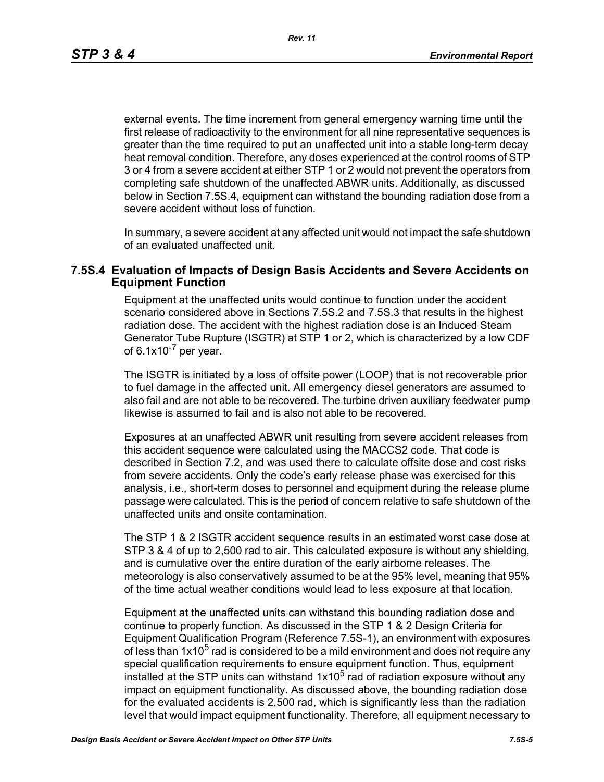*Rev. 11*

external events. The time increment from general emergency warning time until the first release of radioactivity to the environment for all nine representative sequences is greater than the time required to put an unaffected unit into a stable long-term decay heat removal condition. Therefore, any doses experienced at the control rooms of STP 3 or 4 from a severe accident at either STP 1 or 2 would not prevent the operators from completing safe shutdown of the unaffected ABWR units. Additionally, as discussed below in Section 7.5S.4, equipment can withstand the bounding radiation dose from a severe accident without loss of function.

In summary, a severe accident at any affected unit would not impact the safe shutdown of an evaluated unaffected unit.

### **7.5S.4 Evaluation of Impacts of Design Basis Accidents and Severe Accidents on Equipment Function**

Equipment at the unaffected units would continue to function under the accident scenario considered above in Sections 7.5S.2 and 7.5S.3 that results in the highest radiation dose. The accident with the highest radiation dose is an Induced Steam Generator Tube Rupture (ISGTR) at STP 1 or 2, which is characterized by a low CDF of  $6.1x10^{-7}$  per year.

The ISGTR is initiated by a loss of offsite power (LOOP) that is not recoverable prior to fuel damage in the affected unit. All emergency diesel generators are assumed to also fail and are not able to be recovered. The turbine driven auxiliary feedwater pump likewise is assumed to fail and is also not able to be recovered.

Exposures at an unaffected ABWR unit resulting from severe accident releases from this accident sequence were calculated using the MACCS2 code. That code is described in Section 7.2, and was used there to calculate offsite dose and cost risks from severe accidents. Only the code's early release phase was exercised for this analysis, i.e., short-term doses to personnel and equipment during the release plume passage were calculated. This is the period of concern relative to safe shutdown of the unaffected units and onsite contamination.

The STP 1 & 2 ISGTR accident sequence results in an estimated worst case dose at STP 3 & 4 of up to 2,500 rad to air. This calculated exposure is without any shielding, and is cumulative over the entire duration of the early airborne releases. The meteorology is also conservatively assumed to be at the 95% level, meaning that 95% of the time actual weather conditions would lead to less exposure at that location.

Equipment at the unaffected units can withstand this bounding radiation dose and continue to properly function. As discussed in the STP 1 & 2 Design Criteria for Equipment Qualification Program (Reference 7.5S-1), an environment with exposures of less than  $1x10<sup>5</sup>$  rad is considered to be a mild environment and does not require any special qualification requirements to ensure equipment function. Thus, equipment installed at the STP units can withstand  $1x10^5$  rad of radiation exposure without any impact on equipment functionality. As discussed above, the bounding radiation dose for the evaluated accidents is 2,500 rad, which is significantly less than the radiation level that would impact equipment functionality. Therefore, all equipment necessary to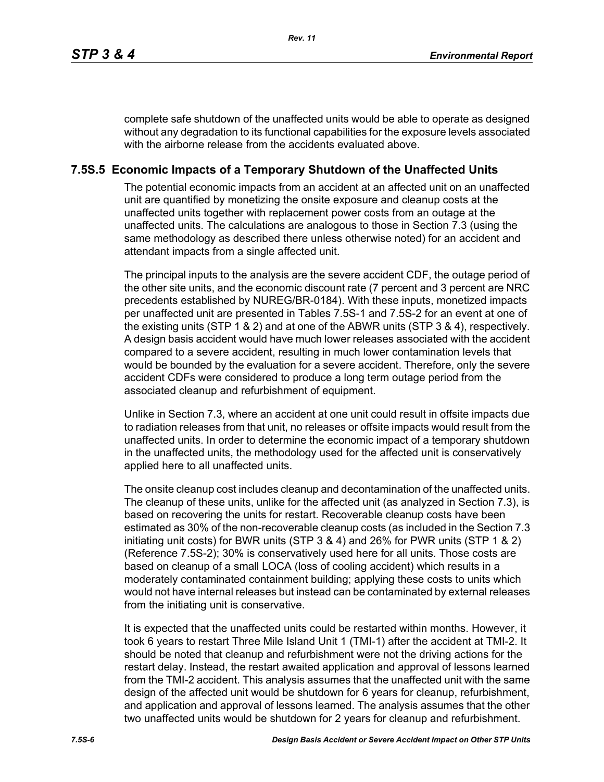complete safe shutdown of the unaffected units would be able to operate as designed without any degradation to its functional capabilities for the exposure levels associated with the airborne release from the accidents evaluated above.

## **7.5S.5 Economic Impacts of a Temporary Shutdown of the Unaffected Units**

The potential economic impacts from an accident at an affected unit on an unaffected unit are quantified by monetizing the onsite exposure and cleanup costs at the unaffected units together with replacement power costs from an outage at the unaffected units. The calculations are analogous to those in Section 7.3 (using the same methodology as described there unless otherwise noted) for an accident and attendant impacts from a single affected unit.

The principal inputs to the analysis are the severe accident CDF, the outage period of the other site units, and the economic discount rate (7 percent and 3 percent are NRC precedents established by NUREG/BR-0184). With these inputs, monetized impacts per unaffected unit are presented in Tables 7.5S-1 and 7.5S-2 for an event at one of the existing units (STP 1 & 2) and at one of the ABWR units (STP 3 & 4), respectively. A design basis accident would have much lower releases associated with the accident compared to a severe accident, resulting in much lower contamination levels that would be bounded by the evaluation for a severe accident. Therefore, only the severe accident CDFs were considered to produce a long term outage period from the associated cleanup and refurbishment of equipment.

Unlike in Section 7.3, where an accident at one unit could result in offsite impacts due to radiation releases from that unit, no releases or offsite impacts would result from the unaffected units. In order to determine the economic impact of a temporary shutdown in the unaffected units, the methodology used for the affected unit is conservatively applied here to all unaffected units.

The onsite cleanup cost includes cleanup and decontamination of the unaffected units. The cleanup of these units, unlike for the affected unit (as analyzed in Section 7.3), is based on recovering the units for restart. Recoverable cleanup costs have been estimated as 30% of the non-recoverable cleanup costs (as included in the Section 7.3 initiating unit costs) for BWR units (STP 3 & 4) and 26% for PWR units (STP 1 & 2) (Reference 7.5S-2); 30% is conservatively used here for all units. Those costs are based on cleanup of a small LOCA (loss of cooling accident) which results in a moderately contaminated containment building; applying these costs to units which would not have internal releases but instead can be contaminated by external releases from the initiating unit is conservative.

It is expected that the unaffected units could be restarted within months. However, it took 6 years to restart Three Mile Island Unit 1 (TMI-1) after the accident at TMI-2. It should be noted that cleanup and refurbishment were not the driving actions for the restart delay. Instead, the restart awaited application and approval of lessons learned from the TMI-2 accident. This analysis assumes that the unaffected unit with the same design of the affected unit would be shutdown for 6 years for cleanup, refurbishment, and application and approval of lessons learned. The analysis assumes that the other two unaffected units would be shutdown for 2 years for cleanup and refurbishment.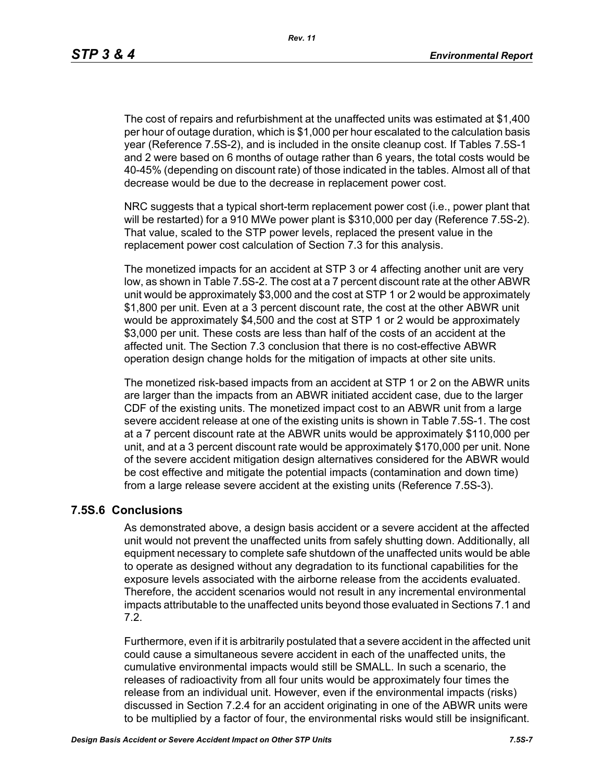The cost of repairs and refurbishment at the unaffected units was estimated at \$1,400 per hour of outage duration, which is \$1,000 per hour escalated to the calculation basis year (Reference 7.5S-2), and is included in the onsite cleanup cost. If Tables 7.5S-1 and 2 were based on 6 months of outage rather than 6 years, the total costs would be 40-45% (depending on discount rate) of those indicated in the tables. Almost all of that decrease would be due to the decrease in replacement power cost.

NRC suggests that a typical short-term replacement power cost (i.e., power plant that will be restarted) for a 910 MWe power plant is \$310,000 per day (Reference 7.5S-2). That value, scaled to the STP power levels, replaced the present value in the replacement power cost calculation of Section 7.3 for this analysis.

The monetized impacts for an accident at STP 3 or 4 affecting another unit are very low, as shown in Table 7.5S-2. The cost at a 7 percent discount rate at the other ABWR unit would be approximately \$3,000 and the cost at STP 1 or 2 would be approximately \$1,800 per unit. Even at a 3 percent discount rate, the cost at the other ABWR unit would be approximately \$4,500 and the cost at STP 1 or 2 would be approximately \$3,000 per unit. These costs are less than half of the costs of an accident at the affected unit. The Section 7.3 conclusion that there is no cost-effective ABWR operation design change holds for the mitigation of impacts at other site units.

The monetized risk-based impacts from an accident at STP 1 or 2 on the ABWR units are larger than the impacts from an ABWR initiated accident case, due to the larger CDF of the existing units. The monetized impact cost to an ABWR unit from a large severe accident release at one of the existing units is shown in Table 7.5S-1. The cost at a 7 percent discount rate at the ABWR units would be approximately \$110,000 per unit, and at a 3 percent discount rate would be approximately \$170,000 per unit. None of the severe accident mitigation design alternatives considered for the ABWR would be cost effective and mitigate the potential impacts (contamination and down time) from a large release severe accident at the existing units (Reference 7.5S-3).

## **7.5S.6 Conclusions**

As demonstrated above, a design basis accident or a severe accident at the affected unit would not prevent the unaffected units from safely shutting down. Additionally, all equipment necessary to complete safe shutdown of the unaffected units would be able to operate as designed without any degradation to its functional capabilities for the exposure levels associated with the airborne release from the accidents evaluated. Therefore, the accident scenarios would not result in any incremental environmental impacts attributable to the unaffected units beyond those evaluated in Sections 7.1 and 7.2.

Furthermore, even if it is arbitrarily postulated that a severe accident in the affected unit could cause a simultaneous severe accident in each of the unaffected units, the cumulative environmental impacts would still be SMALL. In such a scenario, the releases of radioactivity from all four units would be approximately four times the release from an individual unit. However, even if the environmental impacts (risks) discussed in Section 7.2.4 for an accident originating in one of the ABWR units were to be multiplied by a factor of four, the environmental risks would still be insignificant.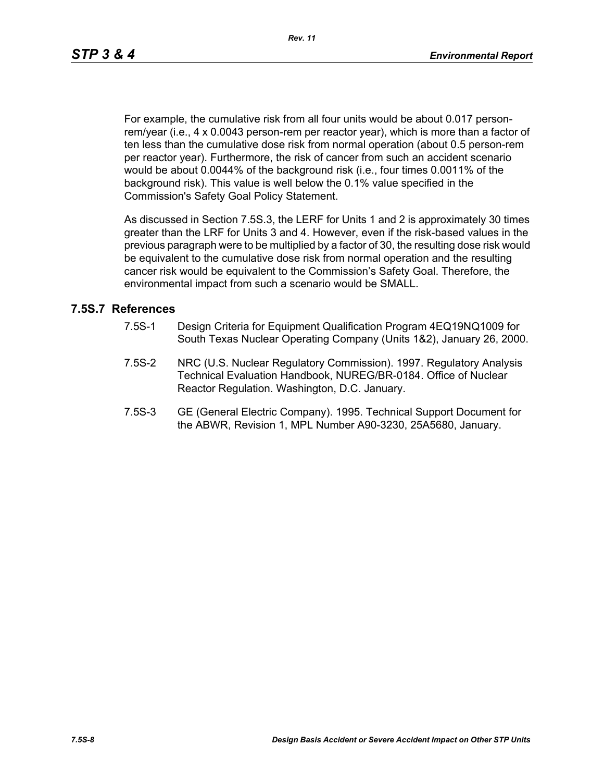For example, the cumulative risk from all four units would be about 0.017 personrem/year (i.e., 4 x 0.0043 person-rem per reactor year), which is more than a factor of ten less than the cumulative dose risk from normal operation (about 0.5 person-rem per reactor year). Furthermore, the risk of cancer from such an accident scenario would be about 0.0044% of the background risk (i.e., four times 0.0011% of the background risk). This value is well below the 0.1% value specified in the Commission's Safety Goal Policy Statement.

As discussed in Section 7.5S.3, the LERF for Units 1 and 2 is approximately 30 times greater than the LRF for Units 3 and 4. However, even if the risk-based values in the previous paragraph were to be multiplied by a factor of 30, the resulting dose risk would be equivalent to the cumulative dose risk from normal operation and the resulting cancer risk would be equivalent to the Commission's Safety Goal. Therefore, the environmental impact from such a scenario would be SMALL.

### **7.5S.7 References**

- 7.5S-1 Design Criteria for Equipment Qualification Program 4EQ19NQ1009 for South Texas Nuclear Operating Company (Units 1&2), January 26, 2000.
- 7.5S-2 NRC (U.S. Nuclear Regulatory Commission). 1997. Regulatory Analysis Technical Evaluation Handbook, NUREG/BR-0184. Office of Nuclear Reactor Regulation. Washington, D.C. January.
- 7.5S-3 GE (General Electric Company). 1995. Technical Support Document for the ABWR, Revision 1, MPL Number A90-3230, 25A5680, January.